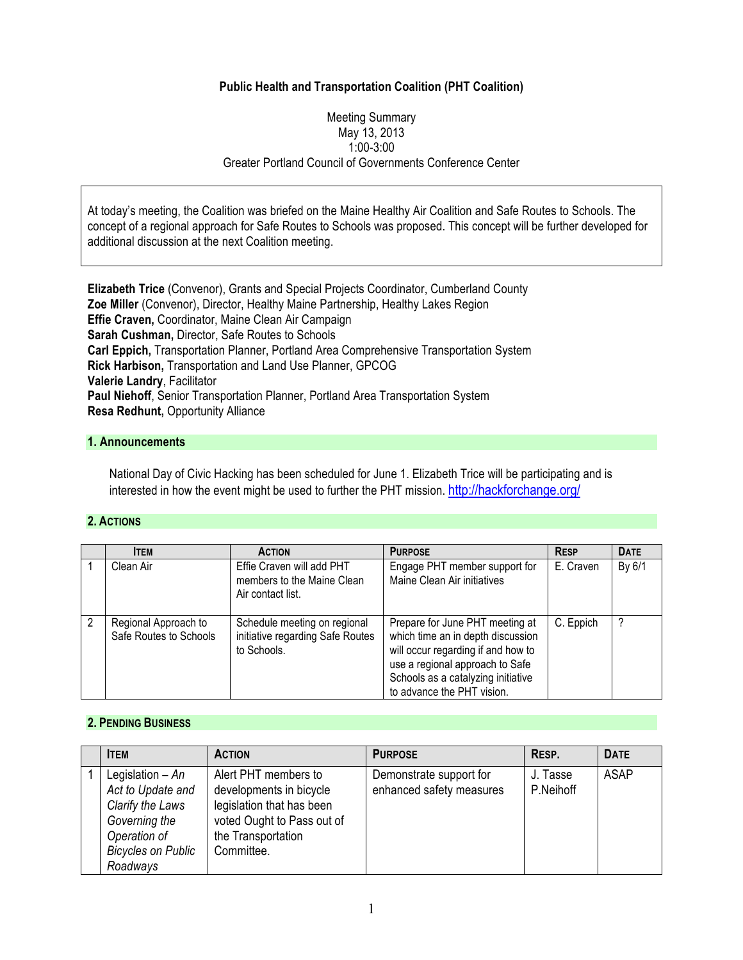## **Public Health and Transportation Coalition (PHT Coalition)**

#### Meeting Summary May 13, 2013 1:00-3:00 Greater Portland Council of Governments Conference Center

At today's meeting, the Coalition was briefed on the Maine Healthy Air Coalition and Safe Routes to Schools. The concept of a regional approach for Safe Routes to Schools was proposed. This concept will be further developed for additional discussion at the next Coalition meeting.

**Elizabeth Trice** (Convenor), Grants and Special Projects Coordinator, Cumberland County **Zoe Miller** (Convenor), Director, Healthy Maine Partnership, Healthy Lakes Region **Effie Craven,** Coordinator, Maine Clean Air Campaign **Sarah Cushman,** Director, Safe Routes to Schools **Carl Eppich,** Transportation Planner, Portland Area Comprehensive Transportation System **Rick Harbison,** Transportation and Land Use Planner, GPCOG **Valerie Landry**, Facilitator **Paul Niehoff**, Senior Transportation Planner, Portland Area Transportation System **Resa Redhunt,** Opportunity Alliance

## **1. Announcements**

National Day of Civic Hacking has been scheduled for June 1. Elizabeth Trice will be participating and is interested in how the event might be used to further the PHT mission. http://hackforchange.org/

#### **2. ACTIONS**

| <b>ITEM</b>                                    | <b>ACTION</b>                                                                   | <b>PURPOSE</b>                                                                                                                                                                                                    | <b>RESP</b> | <b>DATE</b> |
|------------------------------------------------|---------------------------------------------------------------------------------|-------------------------------------------------------------------------------------------------------------------------------------------------------------------------------------------------------------------|-------------|-------------|
| Clean Air                                      | Effie Craven will add PHT<br>members to the Maine Clean<br>Air contact list.    | Engage PHT member support for<br>Maine Clean Air initiatives                                                                                                                                                      | E. Craven   | By 6/1      |
| Regional Approach to<br>Safe Routes to Schools | Schedule meeting on regional<br>initiative regarding Safe Routes<br>to Schools. | Prepare for June PHT meeting at<br>which time an in depth discussion<br>will occur regarding if and how to<br>use a regional approach to Safe<br>Schools as a catalyzing initiative<br>to advance the PHT vision. | C. Eppich   |             |

### **2. PENDING BUSINESS**

| <b>ITEM</b>                                                                                                                          | <b>ACTION</b>                                                                                                                                  | <b>PURPOSE</b>                                      | RESP.                 | <b>DATE</b> |
|--------------------------------------------------------------------------------------------------------------------------------------|------------------------------------------------------------------------------------------------------------------------------------------------|-----------------------------------------------------|-----------------------|-------------|
| Legislation $-An$<br>Act to Update and<br>Clarify the Laws<br>Governing the<br>Operation of<br><b>Bicycles on Public</b><br>Roadways | Alert PHT members to<br>developments in bicycle<br>legislation that has been<br>voted Ought to Pass out of<br>the Transportation<br>Committee. | Demonstrate support for<br>enhanced safety measures | J. Tasse<br>P.Neihoff | <b>ASAP</b> |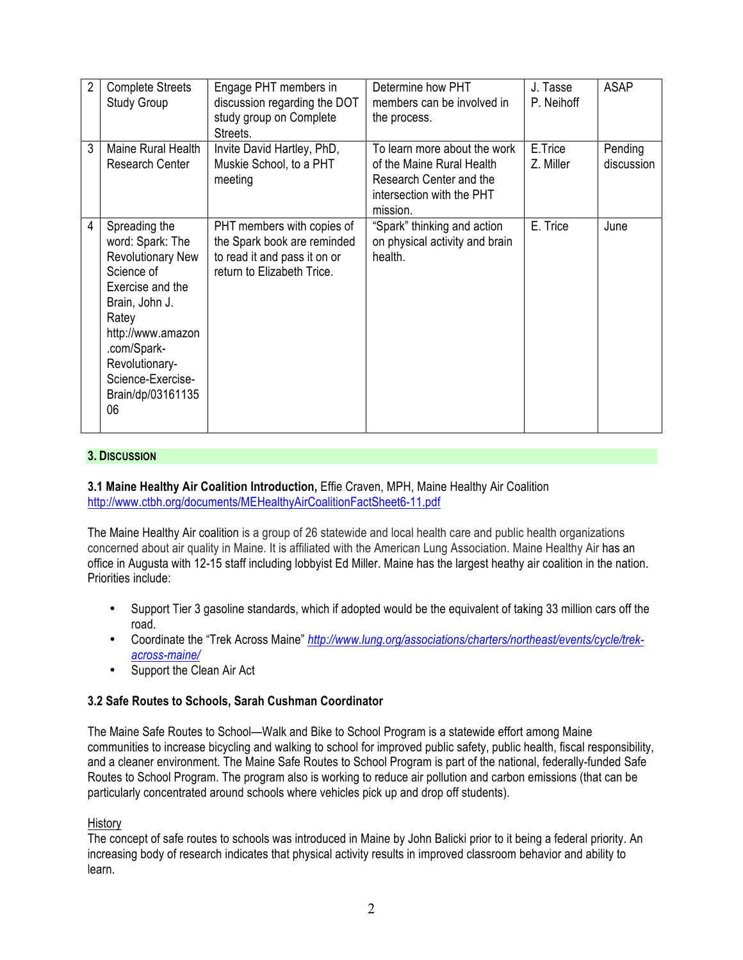| 2 | <b>Complete Streets</b><br><b>Study Group</b>                                                                                                                                                                                    | Engage PHT members in<br>discussion regarding the DOT<br>study group on Complete<br>Streets.                            | Determine how PHT<br>members can be involved in<br>the process.                                                               | J. Tasse<br>P. Neihoff | <b>ASAP</b>           |
|---|----------------------------------------------------------------------------------------------------------------------------------------------------------------------------------------------------------------------------------|-------------------------------------------------------------------------------------------------------------------------|-------------------------------------------------------------------------------------------------------------------------------|------------------------|-----------------------|
| 3 | Maine Rural Health<br>Research Center                                                                                                                                                                                            | Invite David Hartley, PhD,<br>Muskie School, to a PHT<br>meeting                                                        | To learn more about the work<br>of the Maine Rural Health<br>Research Center and the<br>intersection with the PHT<br>mission. | E.Trice<br>Z. Miller   | Pending<br>discussion |
| 4 | Spreading the<br>word: Spark: The<br><b>Revolutionary New</b><br>Science of<br>Exercise and the<br>Brain, John J.<br>Ratey<br>http://www.amazon<br>.com/Spark-<br>Revolutionary-<br>Science-Exercise-<br>Brain/dp/03161135<br>06 | PHT members with copies of<br>the Spark book are reminded<br>to read it and pass it on or<br>return to Elizabeth Trice. | "Spark" thinking and action<br>on physical activity and brain<br>health.                                                      | E. Trice               | June                  |

## **3. DISCUSSION**

## **3.1 Maine Healthy Air Coalition Introduction,** Effie Craven, MPH, Maine Healthy Air Coalition http://www.ctbh.org/documents/MEHealthyAirCoalitionFactSheet6-11.pdf

The Maine Healthy Air coalition is a group of 26 statewide and local health care and public health organizations concerned about air quality in Maine. It is affiliated with the American Lung Association. Maine Healthy Air has an office in Augusta with 12-15 staff including lobbyist Ed Miller. Maine has the largest heathy air coalition in the nation. Priorities include:

- Support Tier 3 gasoline standards, which if adopted would be the equivalent of taking 33 million cars off the road.
- Coordinate the "Trek Across Maine" *http://www.lung.org/associations/charters/northeast/events/cycle/trekacross-maine/*
- Support the Clean Air Act

# **3.2 Safe Routes to Schools, Sarah Cushman Coordinator**

The Maine Safe Routes to School—Walk and Bike to School Program is a statewide effort among Maine communities to increase bicycling and walking to school for improved public safety, public health, fiscal responsibility, and a cleaner environment. The Maine Safe Routes to School Program is part of the national, federally-funded Safe Routes to School Program. The program also is working to reduce air pollution and carbon emissions (that can be particularly concentrated around schools where vehicles pick up and drop off students).

### History

The concept of safe routes to schools was introduced in Maine by John Balicki prior to it being a federal priority. An increasing body of research indicates that physical activity results in improved classroom behavior and ability to learn.